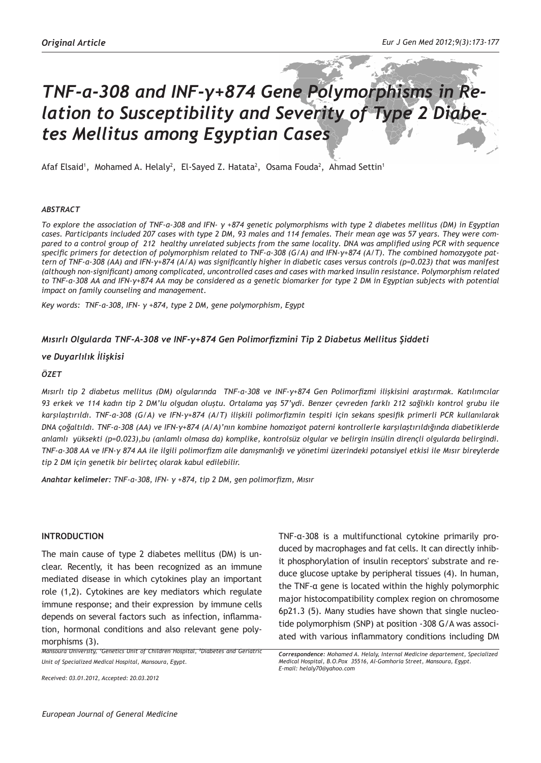# *TNF-α-308 and INF-γ+874 Gene Polymorphisms in Relation to Susceptibility and Severity of Type 2 Diabetes Mellitus among Egyptian Cases*

Afaf Elsaid<sup>1</sup>, Mohamed A. Helaly<sup>2</sup>, El-Sayed Z. Hatata<sup>2</sup>, Osama Fouda<sup>2</sup>, Ahmad Settin<sup>1</sup>

#### *ABSTRACT*

*To explore the association of TNF-α-308 and IFN- γ +874 genetic polymorphisms with type 2 diabetes mellitus (DM) in Egyptian cases. Participants included 207 cases with type 2 DM, 93 males and 114 females. Their mean age was 57 years. They were compared to a control group of 212 healthy unrelated subjects from the same locality. DNA was amplified using PCR with sequence specific primers for detection of polymorphism related to TNF-α-308 (G/A) and IFN-γ+874 (A/T). The combined homozygote pattern of TNF-α-308 (AA) and IFN-γ+874 (A/A) was significantly higher in diabetic cases versus controls (p=0.023) that was manifest (although non-significant) among complicated, uncontrolled cases and cases with marked insulin resistance. Polymorphism related to TNF-α-308 AA and IFN-γ+874 AA may be considered as a genetic biomarker for type 2 DM in Egyptian subjects with potential impact on family counseling and management.* 

*Key words: TNF-α-308, IFN- γ +874, type 2 DM, gene polymorphism, Egypt* 

# *Mısırlı Olgularda TNF-Α-308 ve INF-γ+874 Gen Polimorfizmini Tip 2 Diabetus Mellitus Şiddeti*

## *ve Duyarlılık İlişkisi*

## *ÖZET*

*Mısırlı tip 2 diabetus mellitus (DM) olgularında TNF-α-308 ve INF-γ+874 Gen Polimorfizmi ilişkisini araştırmak. Katılımcılar 93 erkek ve 114 kadın tip 2 DM'lu olgudan oluştu. Ortalama yaş 57'ydi. Benzer çevreden farklı 212 sağlıklı kontrol grubu ile karşılaştırıldı. TNF-α-308 (G/A) ve IFN-γ+874 (A/T) ilişkili polimorfizmin tespiti için sekans spesifik primerli PCR kullanılarak DNA çoğaltıldı. TNF-α-308 (AA) ve IFN-γ+874 (A/A)'nın kombine homozigot paterni kontrollerle karşılaştırıldığında diabetiklerde anlamlı yüksekti (p=0.023),bu (anlamlı olmasa da) komplike, kontrolsüz olgular ve belirgin insülin dirençli olgularda belirgindi. TNF-α-308 AA ve IFN-γ 874 AA ile ilgili polimorfizm aile danışmanlığı ve yönetimi üzerindeki potansiyel etkisi ile Mısır bireylerde tip 2 DM için genetik bir belirteç olarak kabul edilebilir.*

*Anahtar kelimeler: TNF-α-308, IFN- γ +874, tip 2 DM, gen polimorfizm, Mısır*

#### **INTRODUCTION**

The main cause of type 2 diabetes mellitus (DM) is unclear. Recently, it has been recognized as an immune mediated disease in which cytokines play an important role (1,2). Cytokines are key mediators which regulate immune response; and their expression by immune cells depends on several factors such as infection, inflammation, hormonal conditions and also relevant gene polymorphisms (3).

*Mansoura University, 1 Genetics Unit of Children Hospital, 2 Diabetes and Geriatric Unit of Specialized Medical Hospital, Mansoura, Egypt.* 

*Received: 03.01.2012, Accepted: 20.03.2012*

TNF-α-308 is a multifunctional cytokine primarily produced by macrophages and fat cells. It can directly inhibit phosphorylation of insulin receptors' substrate and reduce glucose uptake by peripheral tissues (4). In human, the TNF-α gene is located within the highly polymorphic major histocompatibility complex region on chromosome 6p21.3 (5). Many studies have shown that single nucleotide polymorphism (SNP) at position -308 G/A was associated with various inflammatory conditions including DM

*Correspondence: Mohamed A. Helaly, Internal Medicine departement, Specialized Medical Hospital, B.O.Pox 35516, Al-Gomhoria Street, Mansoura, Egypt. E-mail: helaly70@yahoo.com*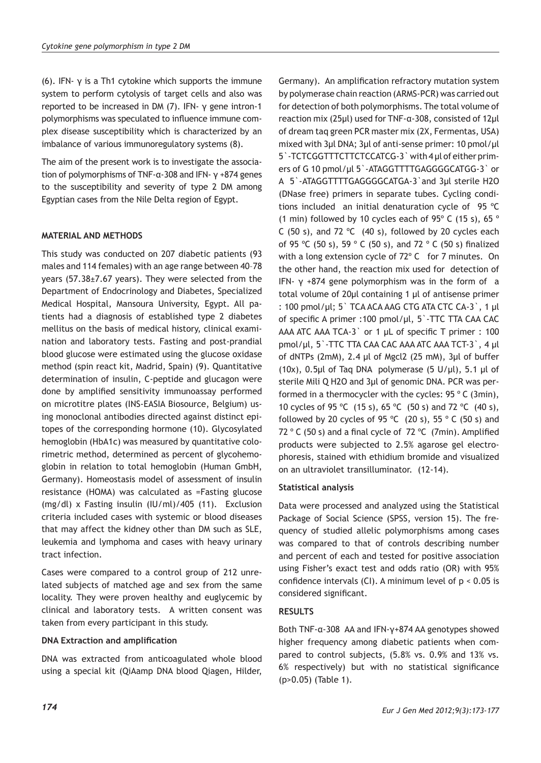(6). IFN- γ is a Th1 cytokine which supports the immune system to perform cytolysis of target cells and also was reported to be increased in DM (7). IFN- γ gene intron-1 polymorphisms was speculated to influence immune complex disease susceptibility which is characterized by an imbalance of various immunoregulatory systems (8).

The aim of the present work is to investigate the association of polymorphisms of TNF-α-308 and IFN- γ +874 genes to the susceptibility and severity of type 2 DM among Egyptian cases from the Nile Delta region of Egypt.

# **MATERIAL AND METHODS**

This study was conducted on 207 diabetic patients (93 males and 114 females) with an age range between 40–78 years (57.38±7.67 years). They were selected from the Department of Endocrinology and Diabetes, Specialized Medical Hospital, Mansoura University, Egypt. All patients had a diagnosis of established type 2 diabetes mellitus on the basis of medical history, clinical examination and laboratory tests. Fasting and post-prandial blood glucose were estimated using the glucose oxidase method (spin react kit, Madrid, Spain) (9). Quantitative determination of insulin, C-peptide and glucagon were done by amplified sensitivity immunoassay performed on microtitre plates (INS-EASIA Biosource, Belgium) using monoclonal antibodies directed against distinct epitopes of the corresponding hormone (10). Glycosylated hemoglobin (HbA1c) was measured by quantitative colorimetric method, determined as percent of glycohemoglobin in relation to total hemoglobin (Human GmbH, Germany). Homeostasis model of assessment of insulin resistance (HOMA) was calculated as =Fasting glucose (mg/dl) x Fasting insulin (IU/ml)/405 (11). Exclusion criteria included cases with systemic or blood diseases that may affect the kidney other than DM such as SLE, leukemia and lymphoma and cases with heavy urinary tract infection.

Cases were compared to a control group of 212 unrelated subjects of matched age and sex from the same locality. They were proven healthy and euglycemic by clinical and laboratory tests. A written consent was taken from every participant in this study.

# **DNA Extraction and amplification**

DNA was extracted from anticoagulated whole blood using a special kit (QiAamp DNA blood Qiagen, Hilder,

Germany). An amplification refractory mutation system by polymerase chain reaction (ARMS-PCR) was carried out for detection of both polymorphisms. The total volume of reaction mix (25µl) used for TNF-α-308, consisted of 12µl of dream taq green PCR master mix (2X, Fermentas, USA) mixed with 3µl DNA; 3µl of anti-sense primer: 10 pmol/µl 5`-TCTCGGTTTCTTCTCCATCG-3` with 4 µl of either primers of G 10 pmol/µl 5`-ATAGGTTTTGAGGGGCATGG-3` or A 5`-ATAGGTTTTGAGGGGCATGA-3`and 3µl sterile H2O (DNase free) primers in separate tubes. Cycling conditions included an initial denaturation cycle of 95 ºC (1 min) followed by 10 cycles each of 95º C (15 s), 65 º C (50 s), and 72  $°C$  (40 s), followed by 20 cycles each of 95 ºC (50 s), 59 º C (50 s), and 72 º C (50 s) finalized with a long extension cycle of 72° C for 7 minutes. On the other hand, the reaction mix used for detection of IFN- γ +874 gene polymorphism was in the form of a total volume of 20µl containing 1 µl of antisense primer : 100 pmol/µl; 5` TCA ACA AAG CTG ATA CTC CA-3`, 1 µl of specific A primer :100 pmol/µl, 5`-TTC TTA CAA CAC AAA ATC AAA TCA-3 or 1 µL of specific T primer : 100 pmol/µl, 5`-TTC TTA CAA CAC AAA ATC AAA TCT-3`, 4 µl of dNTPs (2mM), 2.4 µl of Mgcl2 (25 mM), 3µl of buffer (10x), 0.5µl of Taq DNA polymerase (5 U/µl), 5.1 µl of sterile Mili Q H2O and 3µl of genomic DNA. PCR was performed in a thermocycler with the cycles: 95 º C (3min), 10 cycles of 95 ºC (15 s), 65 ºC (50 s) and 72 ºC (40 s), followed by 20 cycles of 95 °C (20 s), 55 °C (50 s) and 72 º C (50 s) and a final cycle of 72 ºC (7min). Amplified products were subjected to 2.5% agarose gel electrophoresis, stained with ethidium bromide and visualized on an ultraviolet transilluminator. (12-14).

# **Statistical analysis**

Data were processed and analyzed using the Statistical Package of Social Science (SPSS, version 15). The frequency of studied allelic polymorphisms among cases was compared to that of controls describing number and percent of each and tested for positive association using Fisher's exact test and odds ratio (OR) with 95% confidence intervals (CI). A minimum level of  $p < 0.05$  is considered significant.

# **RESULTS**

Both TNF-α-308 AA and IFN-γ+874 AA genotypes showed higher frequency among diabetic patients when compared to control subjects, (5.8% vs. 0.9% and 13% vs. 6% respectively) but with no statistical significance (p>0.05) (Table 1).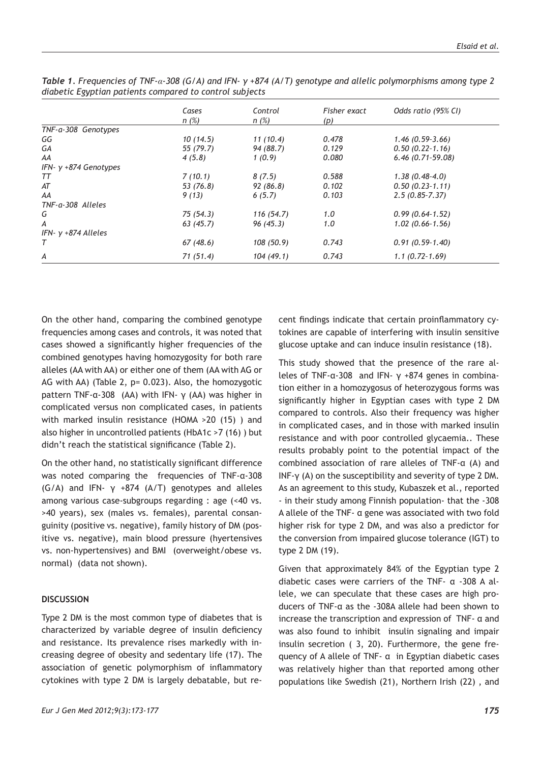|                          | Cases     | Control    | Fisher exact | Odds ratio (95% CI) |
|--------------------------|-----------|------------|--------------|---------------------|
|                          | n(%)      | n(%)       | (p)          |                     |
| TNF-a-308 Genotypes      |           |            |              |                     |
| GG                       | 10(14.5)  | 11(10.4)   | 0.478        | $1.46(0.59-3.66)$   |
| GA                       | 55 (79.7) | 94 (88.7)  | 0.129        | $0.50(0.22-1.16)$   |
| AA                       | 4(5.8)    | 1(0.9)     | 0.080        | $6.46$ (0.71-59.08) |
| IFN- $v + 874$ Genotypes |           |            |              |                     |
| TТ                       | 7(10.1)   | 8(7.5)     | 0.588        | $1.38(0.48-4.0)$    |
| AT                       | 53 (76.8) | 92(86.8)   | 0.102        | $0.50(0.23-1.11)$   |
| AA                       | 9(13)     | 6(5.7)     | 0.103        | $2.5(0.85 - 7.37)$  |
| TNF-a-308 Alleles        |           |            |              |                     |
| G                        | 75(54.3)  | 116(54.7)  | 1.0          | $0.99(0.64-1.52)$   |
| А                        | 63(45.7)  | 96(45.3)   | 1.0          | $1.02(0.66-1.56)$   |
| IFN- $v + 874$ Alleles   |           |            |              |                     |
| Т                        | 67(48.6)  | 108 (50.9) | 0.743        | $0.91(0.59-1.40)$   |
| А                        | 71(51.4)  | 104(49.1)  | 0.743        | $1.1(0.72-1.69)$    |

*Table 1. Frequencies of TNF-α-308 (G/A) and IFN- γ +874 (A/T) genotype and allelic polymorphisms among type 2 diabetic Egyptian patients compared to control subjects*

On the other hand, comparing the combined genotype frequencies among cases and controls, it was noted that cases showed a significantly higher frequencies of the combined genotypes having homozygosity for both rare alleles (AA with AA) or either one of them (AA with AG or AG with AA) (Table 2, p= 0.023). Also, the homozygotic pattern TNF-α-308 (AA) with IFN-  $\gamma$  (AA) was higher in complicated versus non complicated cases, in patients with marked insulin resistance (HOMA >20 (15) ) and also higher in uncontrolled patients (HbA1c >7 (16) ) but didn't reach the statistical significance (Table 2).

On the other hand, no statistically significant difference was noted comparing the frequencies of TNF-α-308 (G/A) and IFN-  $\gamma$  +874 (A/T) genotypes and alleles among various case-subgroups regarding : age (<40 vs. >40 years), sex (males vs. females), parental consanguinity (positive vs. negative), family history of DM (positive vs. negative), main blood pressure (hyertensives vs. non-hypertensives) and BMI (overweight/obese vs. normal) (data not shown).

# **DISCUSSION**

Type 2 DM is the most common type of diabetes that is characterized by variable degree of insulin deficiency and resistance. Its prevalence rises markedly with increasing degree of obesity and sedentary life (17). The association of genetic polymorphism of inflammatory cytokines with type 2 DM is largely debatable, but recent findings indicate that certain proinflammatory cytokines are capable of interfering with insulin sensitive glucose uptake and can induce insulin resistance (18).

This study showed that the presence of the rare alleles of TNF-α-308 and IFN- γ +874 genes in combination either in a homozygosus of heterozygous forms was significantly higher in Egyptian cases with type 2 DM compared to controls. Also their frequency was higher in complicated cases, and in those with marked insulin resistance and with poor controlled glycaemia.. These results probably point to the potential impact of the combined association of rare alleles of TNF-α (A) and INF-γ (A) on the susceptibility and severity of type 2 DM. As an agreement to this study, Kubaszek et al., reported - in their study among Finnish population- that the -308 A allele of the TNF- α gene was associated with two fold higher risk for type 2 DM, and was also a predictor for the conversion from impaired glucose tolerance (IGT) to type 2 DM (19).

Given that approximately 84% of the Egyptian type 2 diabetic cases were carriers of the TNF- α -308 A allele, we can speculate that these cases are high producers of TNF-α as the -308A allele had been shown to increase the transcription and expression of TNF- α and was also found to inhibit insulin signaling and impair insulin secretion ( 3, 20). Furthermore, the gene frequency of A allele of TNF- α in Egyptian diabetic cases was relatively higher than that reported among other populations like Swedish (21), Northern Irish (22) , and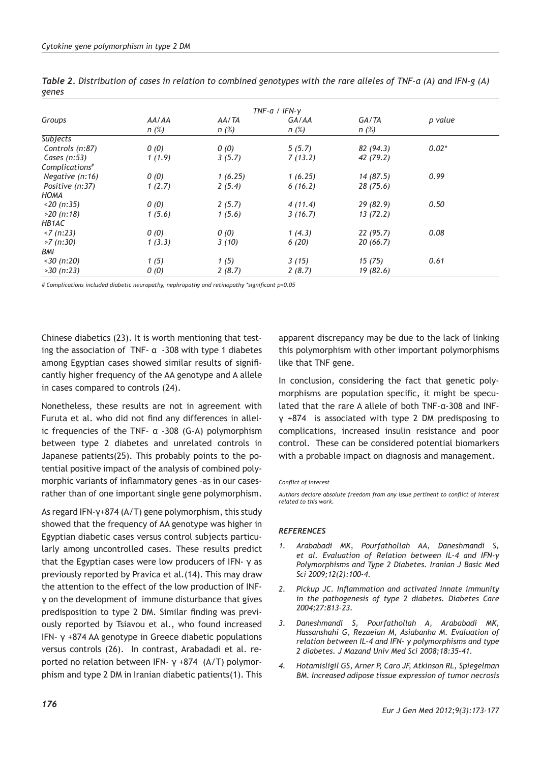| TNF-a / IFN- $v$           |         |         |         |           |         |  |  |  |
|----------------------------|---------|---------|---------|-----------|---------|--|--|--|
| Groups                     | AA/AA   | AA/TA   | GA/AA   | GA/TA     | p value |  |  |  |
|                            | $n(\%)$ | $n(\%)$ | $n(\%)$ | n(%)      |         |  |  |  |
| <b>Subjects</b>            |         |         |         |           |         |  |  |  |
| Controls (n:87)            | 0(0)    | 0(0)    | 5(5.7)  | 82(94.3)  | $0.02*$ |  |  |  |
| Cases $(n:53)$             | 1(1.9)  | 3(5.7)  | 7(13.2) | 42 (79.2) |         |  |  |  |
| Complications <sup>#</sup> |         |         |         |           |         |  |  |  |
| Negative (n:16)            | 0(0)    | 1(6.25) | 1(6.25) | 14(87.5)  | 0.99    |  |  |  |
| Positive (n:37)            | 1(2.7)  | 2(5.4)  | 6(16.2) | 28(75.6)  |         |  |  |  |
| <b>HOMA</b>                |         |         |         |           |         |  |  |  |
| $<$ 20 (n:35)              | 0(0)    | 2(5.7)  | 4(11.4) | 29(82.9)  | 0.50    |  |  |  |
| $>20$ (n:18)               | 1(5.6)  | 1(5.6)  | 3(16.7) | 13(72.2)  |         |  |  |  |
| HB1AC                      |         |         |         |           |         |  |  |  |
| $\langle 7(n:23) \rangle$  | 0(0)    | 0(0)    | 1(4.3)  | 22(95.7)  | 0.08    |  |  |  |
| $>7$ (n:30)                | 1(3.3)  | 3(10)   | 6(20)   | 20(66.7)  |         |  |  |  |
| BMI                        |         |         |         |           |         |  |  |  |
| $<$ 30 (n:20)              | 1(5)    | 1(5)    | 3(15)   | 15(75)    | 0.61    |  |  |  |
| $>30$ (n:23)               | 0(0)    | 2(8.7)  | 2(8.7)  | 19(82.6)  |         |  |  |  |

*Table 2. Distribution of cases in relation to combined genotypes with the rare alleles of TNF-α (A) and IFN-g (A) genes*

*# Complications included diabetic neuropathy, nephropathy and retinopathy \*significant p<0.05*

Chinese diabetics (23). It is worth mentioning that testing the association of TNF- $\alpha$  -308 with type 1 diabetes among Egyptian cases showed similar results of significantly higher frequency of the AA genotype and A allele in cases compared to controls (24).

Nonetheless, these results are not in agreement with Furuta et al. who did not find any differences in allelic frequencies of the TNF- α -308 (G-A) polymorphism between type 2 diabetes and unrelated controls in Japanese patients(25). This probably points to the potential positive impact of the analysis of combined polymorphic variants of inflammatory genes –as in our casesrather than of one important single gene polymorphism.

As regard IFN-γ+874 (A/T) gene polymorphism, this study showed that the frequency of AA genotype was higher in Egyptian diabetic cases versus control subjects particularly among uncontrolled cases. These results predict that the Egyptian cases were low producers of IFN- γ as previously reported by Pravica et al.(14). This may draw the attention to the effect of the low production of INFγ on the development of immune disturbance that gives predisposition to type 2 DM. Similar finding was previously reported by Tsiavou et al., who found increased IFN- γ +874 AA genotype in Greece diabetic populations versus controls (26). In contrast, Arabadadi et al. reported no relation between IFN- γ +874 (A/T) polymorphism and type 2 DM in Iranian diabetic patients(1). This

apparent discrepancy may be due to the lack of linking this polymorphism with other important polymorphisms like that TNF gene.

In conclusion, considering the fact that genetic polymorphisms are population specific, it might be speculated that the rare A allele of both TNF-α-308 and INFγ +874 is associated with type 2 DM predisposing to complications, increased insulin resistance and poor control. These can be considered potential biomarkers with a probable impact on diagnosis and management.

#### *Conflict of interest*

*Authors declare absolute freedom from any issue pertinent to conflict of interest related to this work.*

#### *REFERENCES*

- *1. Arababadi MK, Pourfathollah AA, Daneshmandi S, et al. Evaluation of Relation between IL-4 and IFN-γ Polymorphisms and Type 2 Diabetes. Iranian J Basic Med Sci 2009;12(2):100-4.*
- *2. Pickup JC. Inflammation and activated innate immunity in the pathogenesis of type 2 diabetes. Diabetes Care 2004;27:813-23.*
- *3. Daneshmandi S, Pourfathollah A, Arababadi MK, Hassanshahi G, Rezaeian M, Asiabanha M. Evaluation of relation between IL-4 and IFN- γ polymorphisms and type 2 diabetes. J Mazand Univ Med Sci 2008;18:35-41.*
- *4. Hotamisligil GS, Arner P, Caro JF, Atkinson RL, Spiegelman BM. Increased adipose tissue expression of tumor necrosis*